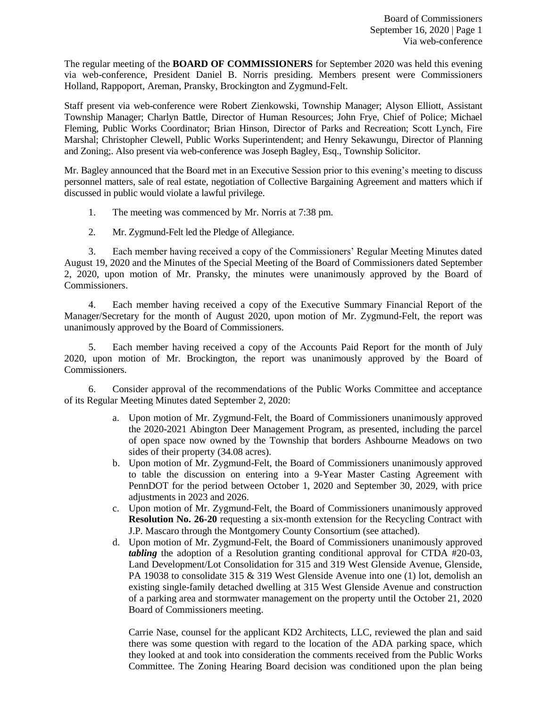The regular meeting of the **BOARD OF COMMISSIONERS** for September 2020 was held this evening via web-conference, President Daniel B. Norris presiding. Members present were Commissioners Holland, Rappoport, Areman, Pransky, Brockington and Zygmund-Felt.

Staff present via web-conference were Robert Zienkowski, Township Manager; Alyson Elliott, Assistant Township Manager; Charlyn Battle, Director of Human Resources; John Frye, Chief of Police; Michael Fleming, Public Works Coordinator; Brian Hinson, Director of Parks and Recreation; Scott Lynch, Fire Marshal; Christopher Clewell, Public Works Superintendent; and Henry Sekawungu, Director of Planning and Zoning;. Also present via web-conference was Joseph Bagley, Esq., Township Solicitor.

Mr. Bagley announced that the Board met in an Executive Session prior to this evening's meeting to discuss personnel matters, sale of real estate, negotiation of Collective Bargaining Agreement and matters which if discussed in public would violate a lawful privilege.

- 1. The meeting was commenced by Mr. Norris at 7:38 pm.
- 2. Mr. Zygmund-Felt led the Pledge of Allegiance.

3. Each member having received a copy of the Commissioners' Regular Meeting Minutes dated August 19, 2020 and the Minutes of the Special Meeting of the Board of Commissioners dated September 2, 2020, upon motion of Mr. Pransky, the minutes were unanimously approved by the Board of Commissioners.

4. Each member having received a copy of the Executive Summary Financial Report of the Manager/Secretary for the month of August 2020, upon motion of Mr. Zygmund-Felt, the report was unanimously approved by the Board of Commissioners.

5. Each member having received a copy of the Accounts Paid Report for the month of July 2020, upon motion of Mr. Brockington, the report was unanimously approved by the Board of Commissioners.

6. Consider approval of the recommendations of the Public Works Committee and acceptance of its Regular Meeting Minutes dated September 2, 2020:

- a. Upon motion of Mr. Zygmund-Felt, the Board of Commissioners unanimously approved the 2020-2021 Abington Deer Management Program, as presented, including the parcel of open space now owned by the Township that borders Ashbourne Meadows on two sides of their property (34.08 acres).
- b. Upon motion of Mr. Zygmund-Felt, the Board of Commissioners unanimously approved to table the discussion on entering into a 9-Year Master Casting Agreement with PennDOT for the period between October 1, 2020 and September 30, 2029, with price adjustments in 2023 and 2026.
- c. Upon motion of Mr. Zygmund-Felt, the Board of Commissioners unanimously approved **Resolution No. 26-20** requesting a six-month extension for the Recycling Contract with J.P. Mascaro through the Montgomery County Consortium (see attached).
- d. Upon motion of Mr. Zygmund-Felt, the Board of Commissioners unanimously approved *tabling* the adoption of a Resolution granting conditional approval for CTDA #20-03, Land Development/Lot Consolidation for 315 and 319 West Glenside Avenue, Glenside, PA 19038 to consolidate 315 & 319 West Glenside Avenue into one (1) lot, demolish an existing single-family detached dwelling at 315 West Glenside Avenue and construction of a parking area and stormwater management on the property until the October 21, 2020 Board of Commissioners meeting.

Carrie Nase, counsel for the applicant KD2 Architects, LLC, reviewed the plan and said there was some question with regard to the location of the ADA parking space, which they looked at and took into consideration the comments received from the Public Works Committee. The Zoning Hearing Board decision was conditioned upon the plan being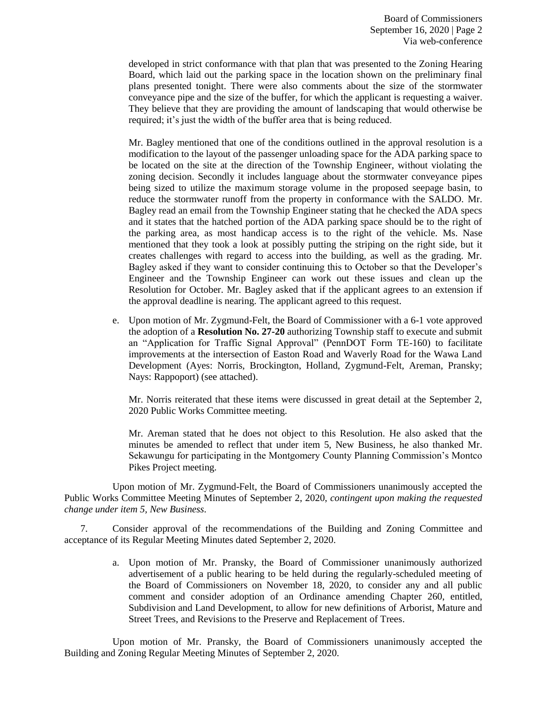developed in strict conformance with that plan that was presented to the Zoning Hearing Board, which laid out the parking space in the location shown on the preliminary final plans presented tonight. There were also comments about the size of the stormwater conveyance pipe and the size of the buffer, for which the applicant is requesting a waiver. They believe that they are providing the amount of landscaping that would otherwise be required; it's just the width of the buffer area that is being reduced.

Mr. Bagley mentioned that one of the conditions outlined in the approval resolution is a modification to the layout of the passenger unloading space for the ADA parking space to be located on the site at the direction of the Township Engineer, without violating the zoning decision. Secondly it includes language about the stormwater conveyance pipes being sized to utilize the maximum storage volume in the proposed seepage basin, to reduce the stormwater runoff from the property in conformance with the SALDO. Mr. Bagley read an email from the Township Engineer stating that he checked the ADA specs and it states that the hatched portion of the ADA parking space should be to the right of the parking area, as most handicap access is to the right of the vehicle. Ms. Nase mentioned that they took a look at possibly putting the striping on the right side, but it creates challenges with regard to access into the building, as well as the grading. Mr. Bagley asked if they want to consider continuing this to October so that the Developer's Engineer and the Township Engineer can work out these issues and clean up the Resolution for October. Mr. Bagley asked that if the applicant agrees to an extension if the approval deadline is nearing. The applicant agreed to this request.

e. Upon motion of Mr. Zygmund-Felt, the Board of Commissioner with a 6-1 vote approved the adoption of a **Resolution No. 27-20** authorizing Township staff to execute and submit an "Application for Traffic Signal Approval" (PennDOT Form TE-160) to facilitate improvements at the intersection of Easton Road and Waverly Road for the Wawa Land Development (Ayes: Norris, Brockington, Holland, Zygmund-Felt, Areman, Pransky; Nays: Rappoport) (see attached).

Mr. Norris reiterated that these items were discussed in great detail at the September 2, 2020 Public Works Committee meeting.

Mr. Areman stated that he does not object to this Resolution. He also asked that the minutes be amended to reflect that under item 5, New Business, he also thanked Mr. Sekawungu for participating in the Montgomery County Planning Commission's Montco Pikes Project meeting.

Upon motion of Mr. Zygmund-Felt, the Board of Commissioners unanimously accepted the Public Works Committee Meeting Minutes of September 2, 2020, *contingent upon making the requested change under item 5, New Business.*

7. Consider approval of the recommendations of the Building and Zoning Committee and acceptance of its Regular Meeting Minutes dated September 2, 2020.

> a. Upon motion of Mr. Pransky, the Board of Commissioner unanimously authorized advertisement of a public hearing to be held during the regularly-scheduled meeting of the Board of Commissioners on November 18, 2020, to consider any and all public comment and consider adoption of an Ordinance amending Chapter 260, entitled, Subdivision and Land Development, to allow for new definitions of Arborist, Mature and Street Trees, and Revisions to the Preserve and Replacement of Trees.

Upon motion of Mr. Pransky, the Board of Commissioners unanimously accepted the Building and Zoning Regular Meeting Minutes of September 2, 2020.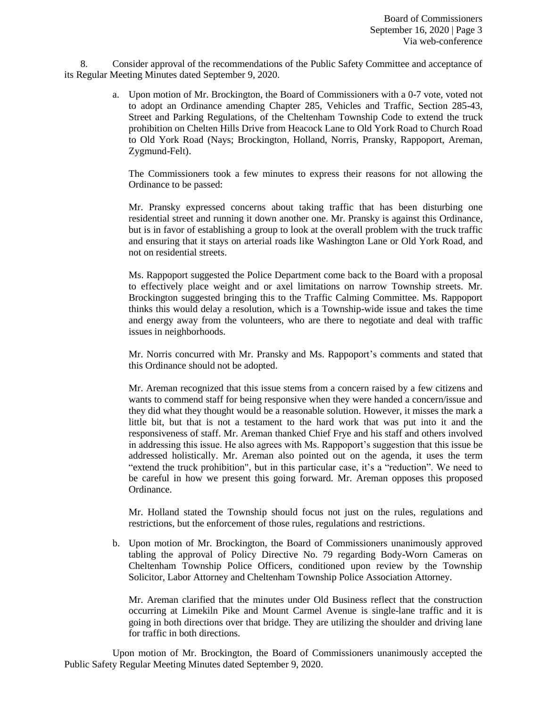8. Consider approval of the recommendations of the Public Safety Committee and acceptance of its Regular Meeting Minutes dated September 9, 2020.

> a. Upon motion of Mr. Brockington, the Board of Commissioners with a 0-7 vote, voted not to adopt an Ordinance amending Chapter 285, Vehicles and Traffic, Section 285-43, Street and Parking Regulations, of the Cheltenham Township Code to extend the truck prohibition on Chelten Hills Drive from Heacock Lane to Old York Road to Church Road to Old York Road (Nays; Brockington, Holland, Norris, Pransky, Rappoport, Areman, Zygmund-Felt).

The Commissioners took a few minutes to express their reasons for not allowing the Ordinance to be passed:

Mr. Pransky expressed concerns about taking traffic that has been disturbing one residential street and running it down another one. Mr. Pransky is against this Ordinance, but is in favor of establishing a group to look at the overall problem with the truck traffic and ensuring that it stays on arterial roads like Washington Lane or Old York Road, and not on residential streets.

Ms. Rappoport suggested the Police Department come back to the Board with a proposal to effectively place weight and or axel limitations on narrow Township streets. Mr. Brockington suggested bringing this to the Traffic Calming Committee. Ms. Rappoport thinks this would delay a resolution, which is a Township-wide issue and takes the time and energy away from the volunteers, who are there to negotiate and deal with traffic issues in neighborhoods.

Mr. Norris concurred with Mr. Pransky and Ms. Rappoport's comments and stated that this Ordinance should not be adopted.

Mr. Areman recognized that this issue stems from a concern raised by a few citizens and wants to commend staff for being responsive when they were handed a concern/issue and they did what they thought would be a reasonable solution. However, it misses the mark a little bit, but that is not a testament to the hard work that was put into it and the responsiveness of staff. Mr. Areman thanked Chief Frye and his staff and others involved in addressing this issue. He also agrees with Ms. Rappoport's suggestion that this issue be addressed holistically. Mr. Areman also pointed out on the agenda, it uses the term "extend the truck prohibition", but in this particular case, it's a "reduction". We need to be careful in how we present this going forward. Mr. Areman opposes this proposed Ordinance.

Mr. Holland stated the Township should focus not just on the rules, regulations and restrictions, but the enforcement of those rules, regulations and restrictions.

b. Upon motion of Mr. Brockington, the Board of Commissioners unanimously approved tabling the approval of Policy Directive No. 79 regarding Body-Worn Cameras on Cheltenham Township Police Officers, conditioned upon review by the Township Solicitor, Labor Attorney and Cheltenham Township Police Association Attorney.

Mr. Areman clarified that the minutes under Old Business reflect that the construction occurring at Limekiln Pike and Mount Carmel Avenue is single-lane traffic and it is going in both directions over that bridge. They are utilizing the shoulder and driving lane for traffic in both directions.

Upon motion of Mr. Brockington, the Board of Commissioners unanimously accepted the Public Safety Regular Meeting Minutes dated September 9, 2020.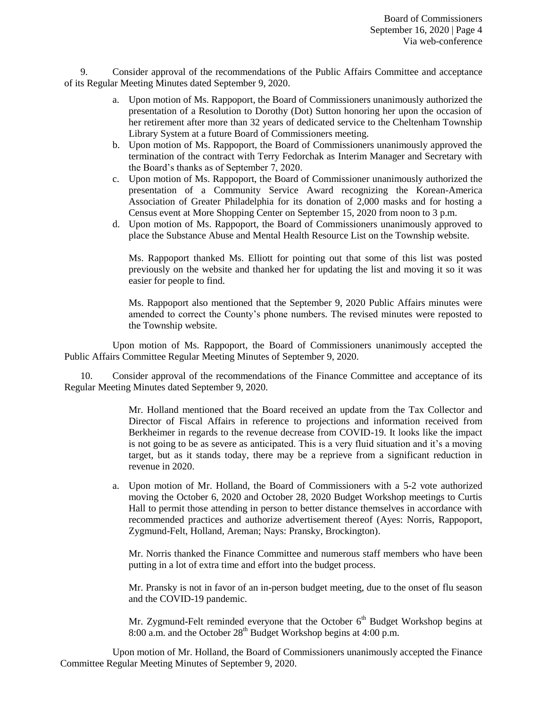9. Consider approval of the recommendations of the Public Affairs Committee and acceptance of its Regular Meeting Minutes dated September 9, 2020.

- a. Upon motion of Ms. Rappoport, the Board of Commissioners unanimously authorized the presentation of a Resolution to Dorothy (Dot) Sutton honoring her upon the occasion of her retirement after more than 32 years of dedicated service to the Cheltenham Township Library System at a future Board of Commissioners meeting.
- b. Upon motion of Ms. Rappoport, the Board of Commissioners unanimously approved the termination of the contract with Terry Fedorchak as Interim Manager and Secretary with the Board's thanks as of September 7, 2020.
- c. Upon motion of Ms. Rappoport, the Board of Commissioner unanimously authorized the presentation of a Community Service Award recognizing the Korean-America Association of Greater Philadelphia for its donation of 2,000 masks and for hosting a Census event at More Shopping Center on September 15, 2020 from noon to 3 p.m.
- d. Upon motion of Ms. Rappoport, the Board of Commissioners unanimously approved to place the Substance Abuse and Mental Health Resource List on the Township website.

Ms. Rappoport thanked Ms. Elliott for pointing out that some of this list was posted previously on the website and thanked her for updating the list and moving it so it was easier for people to find.

Ms. Rappoport also mentioned that the September 9, 2020 Public Affairs minutes were amended to correct the County's phone numbers. The revised minutes were reposted to the Township website.

Upon motion of Ms. Rappoport, the Board of Commissioners unanimously accepted the Public Affairs Committee Regular Meeting Minutes of September 9, 2020.

10. Consider approval of the recommendations of the Finance Committee and acceptance of its Regular Meeting Minutes dated September 9, 2020.

> Mr. Holland mentioned that the Board received an update from the Tax Collector and Director of Fiscal Affairs in reference to projections and information received from Berkheimer in regards to the revenue decrease from COVID-19. It looks like the impact is not going to be as severe as anticipated. This is a very fluid situation and it's a moving target, but as it stands today, there may be a reprieve from a significant reduction in revenue in 2020.

a. Upon motion of Mr. Holland, the Board of Commissioners with a 5-2 vote authorized moving the October 6, 2020 and October 28, 2020 Budget Workshop meetings to Curtis Hall to permit those attending in person to better distance themselves in accordance with recommended practices and authorize advertisement thereof (Ayes: Norris, Rappoport, Zygmund-Felt, Holland, Areman; Nays: Pransky, Brockington).

Mr. Norris thanked the Finance Committee and numerous staff members who have been putting in a lot of extra time and effort into the budget process.

Mr. Pransky is not in favor of an in-person budget meeting, due to the onset of flu season and the COVID-19 pandemic.

Mr. Zygmund-Felt reminded everyone that the October  $6<sup>th</sup>$  Budget Workshop begins at 8:00 a.m. and the October  $28^{th}$  Budget Workshop begins at 4:00 p.m.

Upon motion of Mr. Holland, the Board of Commissioners unanimously accepted the Finance Committee Regular Meeting Minutes of September 9, 2020.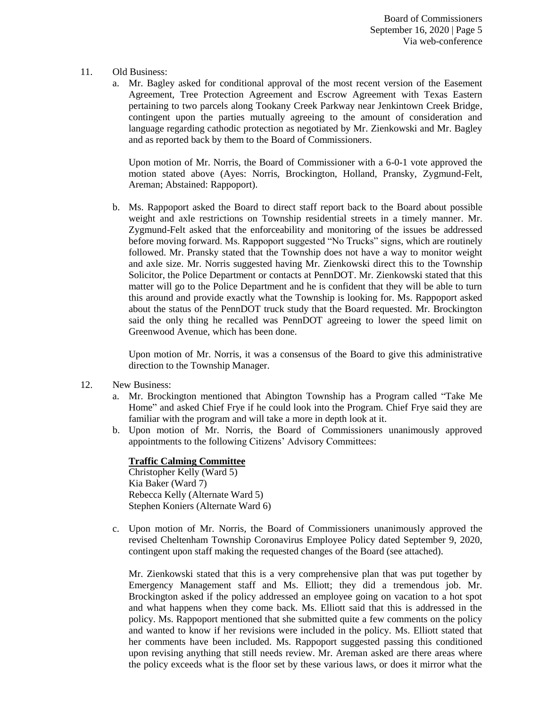## 11. Old Business:

a. Mr. Bagley asked for conditional approval of the most recent version of the Easement Agreement, Tree Protection Agreement and Escrow Agreement with Texas Eastern pertaining to two parcels along Tookany Creek Parkway near Jenkintown Creek Bridge, contingent upon the parties mutually agreeing to the amount of consideration and language regarding cathodic protection as negotiated by Mr. Zienkowski and Mr. Bagley and as reported back by them to the Board of Commissioners.

Upon motion of Mr. Norris, the Board of Commissioner with a 6-0-1 vote approved the motion stated above (Ayes: Norris, Brockington, Holland, Pransky, Zygmund-Felt, Areman; Abstained: Rappoport).

b. Ms. Rappoport asked the Board to direct staff report back to the Board about possible weight and axle restrictions on Township residential streets in a timely manner. Mr. Zygmund-Felt asked that the enforceability and monitoring of the issues be addressed before moving forward. Ms. Rappoport suggested "No Trucks" signs, which are routinely followed. Mr. Pransky stated that the Township does not have a way to monitor weight and axle size. Mr. Norris suggested having Mr. Zienkowski direct this to the Township Solicitor, the Police Department or contacts at PennDOT. Mr. Zienkowski stated that this matter will go to the Police Department and he is confident that they will be able to turn this around and provide exactly what the Township is looking for. Ms. Rappoport asked about the status of the PennDOT truck study that the Board requested. Mr. Brockington said the only thing he recalled was PennDOT agreeing to lower the speed limit on Greenwood Avenue, which has been done.

Upon motion of Mr. Norris, it was a consensus of the Board to give this administrative direction to the Township Manager.

- 12. New Business:
	- a. Mr. Brockington mentioned that Abington Township has a Program called "Take Me Home" and asked Chief Frye if he could look into the Program. Chief Frye said they are familiar with the program and will take a more in depth look at it.
	- b. Upon motion of Mr. Norris, the Board of Commissioners unanimously approved appointments to the following Citizens' Advisory Committees:

## **Traffic Calming Committee**

Christopher Kelly (Ward 5) Kia Baker (Ward 7) Rebecca Kelly (Alternate Ward 5) Stephen Koniers (Alternate Ward 6)

c. Upon motion of Mr. Norris, the Board of Commissioners unanimously approved the revised Cheltenham Township Coronavirus Employee Policy dated September 9, 2020, contingent upon staff making the requested changes of the Board (see attached).

Mr. Zienkowski stated that this is a very comprehensive plan that was put together by Emergency Management staff and Ms. Elliott; they did a tremendous job. Mr. Brockington asked if the policy addressed an employee going on vacation to a hot spot and what happens when they come back. Ms. Elliott said that this is addressed in the policy. Ms. Rappoport mentioned that she submitted quite a few comments on the policy and wanted to know if her revisions were included in the policy. Ms. Elliott stated that her comments have been included. Ms. Rappoport suggested passing this conditioned upon revising anything that still needs review. Mr. Areman asked are there areas where the policy exceeds what is the floor set by these various laws, or does it mirror what the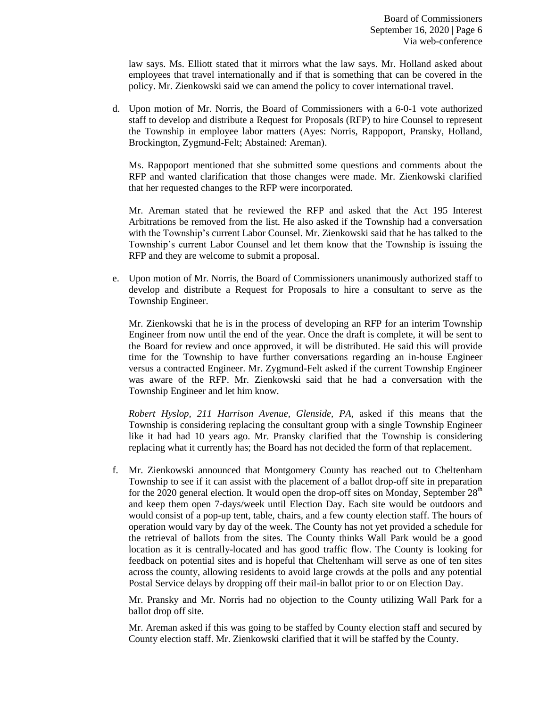law says. Ms. Elliott stated that it mirrors what the law says. Mr. Holland asked about employees that travel internationally and if that is something that can be covered in the policy. Mr. Zienkowski said we can amend the policy to cover international travel.

d. Upon motion of Mr. Norris, the Board of Commissioners with a 6-0-1 vote authorized staff to develop and distribute a Request for Proposals (RFP) to hire Counsel to represent the Township in employee labor matters (Ayes: Norris, Rappoport, Pransky, Holland, Brockington, Zygmund-Felt; Abstained: Areman).

Ms. Rappoport mentioned that she submitted some questions and comments about the RFP and wanted clarification that those changes were made. Mr. Zienkowski clarified that her requested changes to the RFP were incorporated.

Mr. Areman stated that he reviewed the RFP and asked that the Act 195 Interest Arbitrations be removed from the list. He also asked if the Township had a conversation with the Township's current Labor Counsel. Mr. Zienkowski said that he has talked to the Township's current Labor Counsel and let them know that the Township is issuing the RFP and they are welcome to submit a proposal.

e. Upon motion of Mr. Norris, the Board of Commissioners unanimously authorized staff to develop and distribute a Request for Proposals to hire a consultant to serve as the Township Engineer.

Mr. Zienkowski that he is in the process of developing an RFP for an interim Township Engineer from now until the end of the year. Once the draft is complete, it will be sent to the Board for review and once approved, it will be distributed. He said this will provide time for the Township to have further conversations regarding an in-house Engineer versus a contracted Engineer. Mr. Zygmund-Felt asked if the current Township Engineer was aware of the RFP. Mr. Zienkowski said that he had a conversation with the Township Engineer and let him know.

*Robert Hyslop, 211 Harrison Avenue, Glenside, PA,* asked if this means that the Township is considering replacing the consultant group with a single Township Engineer like it had had 10 years ago. Mr. Pransky clarified that the Township is considering replacing what it currently has; the Board has not decided the form of that replacement.

f. Mr. Zienkowski announced that Montgomery County has reached out to Cheltenham Township to see if it can assist with the placement of a ballot drop-off site in preparation for the 2020 general election. It would open the drop-off sites on Monday, September  $28<sup>th</sup>$ and keep them open 7-days/week until Election Day. Each site would be outdoors and would consist of a pop-up tent, table, chairs, and a few county election staff. The hours of operation would vary by day of the week. The County has not yet provided a schedule for the retrieval of ballots from the sites. The County thinks Wall Park would be a good location as it is centrally-located and has good traffic flow. The County is looking for feedback on potential sites and is hopeful that Cheltenham will serve as one of ten sites across the county, allowing residents to avoid large crowds at the polls and any potential Postal Service delays by dropping off their mail-in ballot prior to or on Election Day.

Mr. Pransky and Mr. Norris had no objection to the County utilizing Wall Park for a ballot drop off site.

Mr. Areman asked if this was going to be staffed by County election staff and secured by County election staff. Mr. Zienkowski clarified that it will be staffed by the County.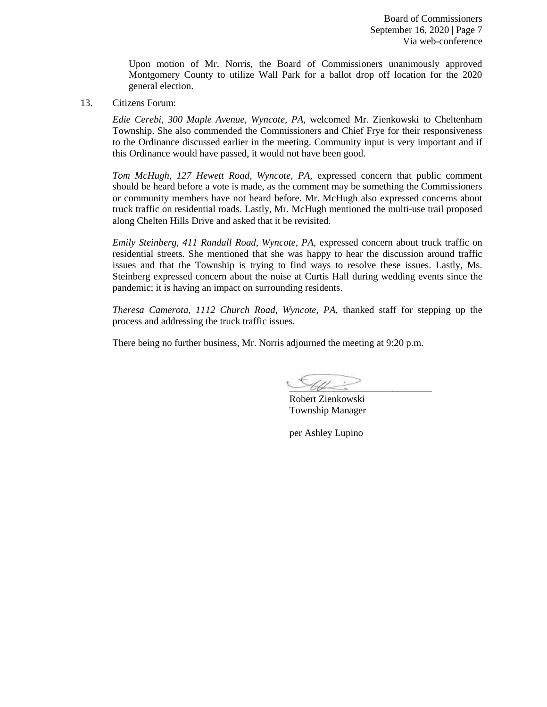Board of Commissioners September 16, 2020 | Page 7 Via web-conference

Upon motion of Mr. Norris, the Board of Commissioners unanimously approved Montgomery County to utilize Wall Park for a ballot drop off location for the 2020 general election.

13. Citizens Forum:

*Edie Cerebi, 300 Maple Avenue, Wyncote, PA,* welcomed Mr. Zienkowski to Cheltenham Township. She also commended the Commissioners and Chief Frye for their responsiveness to the Ordinance discussed earlier in the meeting. Community input is very important and if this Ordinance would have passed, it would not have been good.

*Tom McHugh, 127 Hewett Road, Wyncote, PA,* expressed concern that public comment should be heard before a vote is made, as the comment may be something the Commissioners or community members have not heard before. Mr. McHugh also expressed concerns about truck traffic on residential roads. Lastly, Mr. McHugh mentioned the multi-use trail proposed along Chelten Hills Drive and asked that it be revisited.

*Emily Steinberg, 411 Randall Road, Wyncote, PA,* expressed concern about truck traffic on residential streets. She mentioned that she was happy to hear the discussion around traffic issues and that the Township is trying to find ways to resolve these issues. Lastly, Ms. Steinberg expressed concern about the noise at Curtis Hall during wedding events since the pandemic; it is having an impact on surrounding residents.

*Theresa Camerota, 1112 Church Road, Wyncote, PA,* thanked staff for stepping up the process and addressing the truck traffic issues.

There being no further business, Mr. Norris adjourned the meeting at 9:20 p.m.

 $\sim$  the set of  $\sim$ 

Robert Zienkowski Township Manager

per Ashley Lupino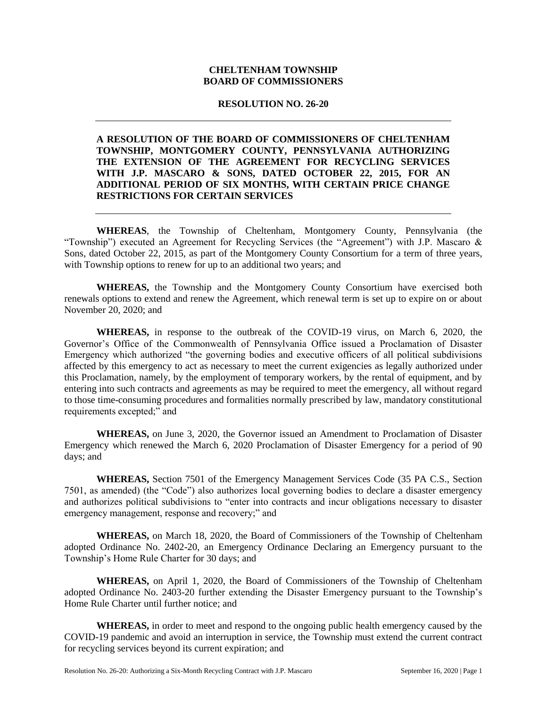## **CHELTENHAM TOWNSHIP BOARD OF COMMISSIONERS**

## **RESOLUTION NO. 26-20**

## **A RESOLUTION OF THE BOARD OF COMMISSIONERS OF CHELTENHAM TOWNSHIP, MONTGOMERY COUNTY, PENNSYLVANIA AUTHORIZING THE EXTENSION OF THE AGREEMENT FOR RECYCLING SERVICES WITH J.P. MASCARO & SONS, DATED OCTOBER 22, 2015, FOR AN ADDITIONAL PERIOD OF SIX MONTHS, WITH CERTAIN PRICE CHANGE RESTRICTIONS FOR CERTAIN SERVICES**

**WHEREAS**, the Township of Cheltenham, Montgomery County, Pennsylvania (the "Township") executed an Agreement for Recycling Services (the "Agreement") with J.P. Mascaro & Sons, dated October 22, 2015, as part of the Montgomery County Consortium for a term of three years, with Township options to renew for up to an additional two years; and

**WHEREAS,** the Township and the Montgomery County Consortium have exercised both renewals options to extend and renew the Agreement, which renewal term is set up to expire on or about November 20, 2020; and

**WHEREAS,** in response to the outbreak of the COVID-19 virus, on March 6, 2020, the Governor's Office of the Commonwealth of Pennsylvania Office issued a Proclamation of Disaster Emergency which authorized "the governing bodies and executive officers of all political subdivisions affected by this emergency to act as necessary to meet the current exigencies as legally authorized under this Proclamation, namely, by the employment of temporary workers, by the rental of equipment, and by entering into such contracts and agreements as may be required to meet the emergency, all without regard to those time-consuming procedures and formalities normally prescribed by law, mandatory constitutional requirements excepted;" and

**WHEREAS,** on June 3, 2020, the Governor issued an Amendment to Proclamation of Disaster Emergency which renewed the March 6, 2020 Proclamation of Disaster Emergency for a period of 90 days; and

**WHEREAS,** Section 7501 of the Emergency Management Services Code (35 PA C.S., Section 7501, as amended) (the "Code") also authorizes local governing bodies to declare a disaster emergency and authorizes political subdivisions to "enter into contracts and incur obligations necessary to disaster emergency management, response and recovery;" and

**WHEREAS,** on March 18, 2020, the Board of Commissioners of the Township of Cheltenham adopted Ordinance No. 2402-20, an Emergency Ordinance Declaring an Emergency pursuant to the Township's Home Rule Charter for 30 days; and

**WHEREAS,** on April 1, 2020, the Board of Commissioners of the Township of Cheltenham adopted Ordinance No. 2403-20 further extending the Disaster Emergency pursuant to the Township's Home Rule Charter until further notice; and

**WHEREAS,** in order to meet and respond to the ongoing public health emergency caused by the COVID-19 pandemic and avoid an interruption in service, the Township must extend the current contract for recycling services beyond its current expiration; and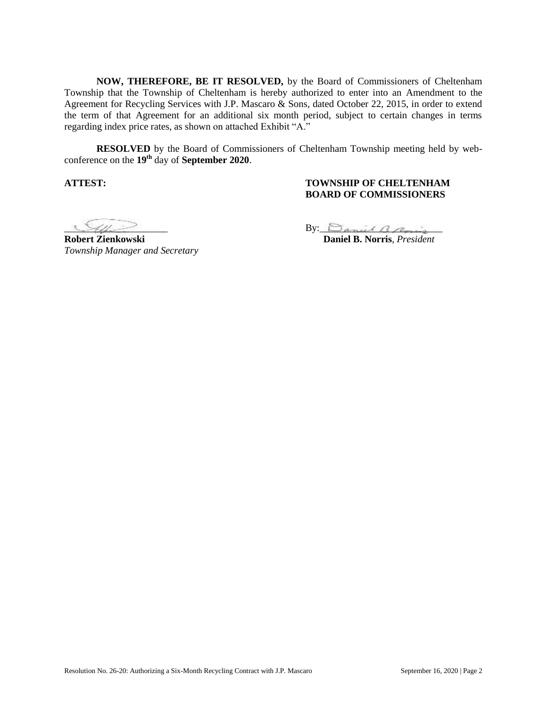**NOW, THEREFORE, BE IT RESOLVED,** by the Board of Commissioners of Cheltenham Township that the Township of Cheltenham is hereby authorized to enter into an Amendment to the Agreement for Recycling Services with J.P. Mascaro & Sons, dated October 22, 2015, in order to extend the term of that Agreement for an additional six month period, subject to certain changes in terms regarding index price rates, as shown on attached Exhibit "A."

**RESOLVED** by the Board of Commissioners of Cheltenham Township meeting held by webconference on the **19th** day of **September 2020**.

## **ATTEST: TOWNSHIP OF CHELTENHAM BOARD OF COMMISSIONERS**

**Robert Zienkowski Daniel B. Norris**, *President Township Manager and Secretary* 

 $By: SpanialB graph$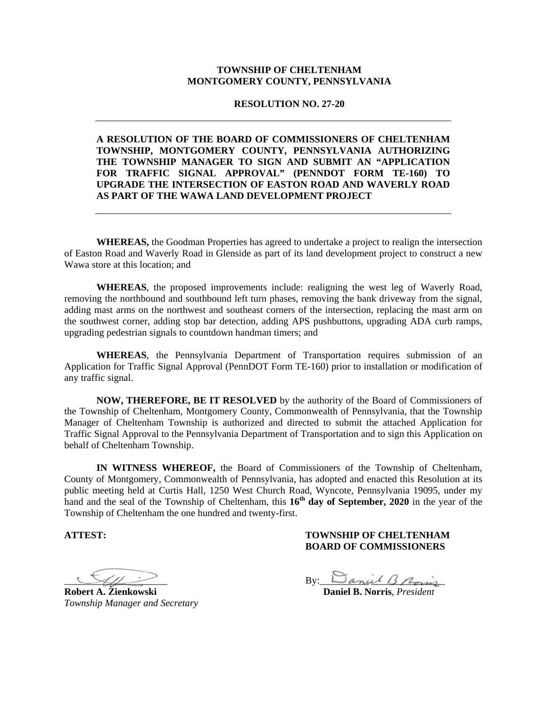## **TOWNSHIP OF CHELTENHAM MONTGOMERY COUNTY, PENNSYLVANIA**

**RESOLUTION NO. 27-20** 

## **A RESOLUTION OF THE BOARD OF COMMISSIONERS OF CHELTENHAM TOWNSHIP, MONTGOMERY COUNTY, PENNSYLVANIA AUTHORIZING THE TOWNSHIP MANAGER TO SIGN AND SUBMIT AN "APPLICATION FOR TRAFFIC SIGNAL APPROVAL" (PENNDOT FORM TE-160) TO UPGRADE THE INTERSECTION OF EASTON ROAD AND WAVERLY ROAD AS PART OF THE WAWA LAND DEVELOPMENT PROJECT**

**WHEREAS,** the Goodman Properties has agreed to undertake a project to realign the intersection of Easton Road and Waverly Road in Glenside as part of its land development project to construct a new Wawa store at this location; and

**WHEREAS**, the proposed improvements include: realigning the west leg of Waverly Road, removing the northbound and southbound left turn phases, removing the bank driveway from the signal, adding mast arms on the northwest and southeast corners of the intersection, replacing the mast arm on the southwest corner, adding stop bar detection, adding APS pushbuttons, upgrading ADA curb ramps, upgrading pedestrian signals to countdown handman timers; and

**WHEREAS**, the Pennsylvania Department of Transportation requires submission of an Application for Traffic Signal Approval (PennDOT Form TE-160) prior to installation or modification of any traffic signal.

**NOW, THEREFORE, BE IT RESOLVED** by the authority of the Board of Commissioners of the Township of Cheltenham, Montgomery County, Commonwealth of Pennsylvania, that the Township Manager of Cheltenham Township is authorized and directed to submit the attached Application for Traffic Signal Approval to the Pennsylvania Department of Transportation and to sign this Application on behalf of Cheltenham Township.

**IN WITNESS WHEREOF,** the Board of Commissioners of the Township of Cheltenham, County of Montgomery, Commonwealth of Pennsylvania, has adopted and enacted this Resolution at its public meeting held at Curtis Hall, 1250 West Church Road, Wyncote, Pennsylvania 19095, under my hand and the seal of the Township of Cheltenham, this 16<sup>th</sup> day of September, 2020 in the year of the Township of Cheltenham the one hundred and twenty-first.

## **ATTEST: TOWNSHIP OF CHELTENHAM BOARD OF COMMISSIONERS**

**Robert A. Zienkowski Daniel B. Norris**, *President Township Manager and Secretary* 

 $By:  $\Box$  anul  $\Box$  point$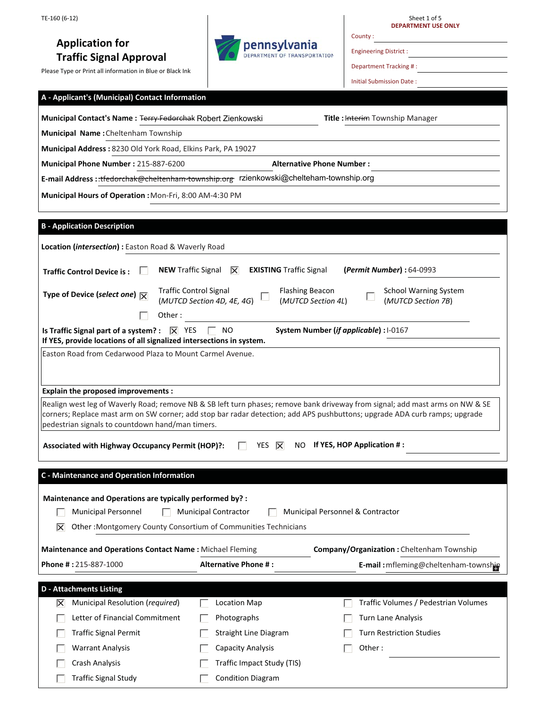# **Application for Traffic Signal Approval**

Crash Analysis

Г

Г

Traffic Signal Study

Please Type or Print all information in Blue or Black Ink



Sheet 1 of 5 **DEPARTMENT USE ONLY**

Engineering District :

County :

Department Tracking # :

Initial Submission Date :

| A - Applicant's (Municipal) Contact Information                                                                                    |                                                             |                                                                                                                               |  |  |
|------------------------------------------------------------------------------------------------------------------------------------|-------------------------------------------------------------|-------------------------------------------------------------------------------------------------------------------------------|--|--|
| Municipal Contact's Name: Terry-Fedorchak Robert Zienkowski                                                                        |                                                             | Title: Interim Township Manager                                                                                               |  |  |
| Municipal Name: Cheltenham Township                                                                                                |                                                             |                                                                                                                               |  |  |
| Municipal Address: 8230 Old York Road, Elkins Park, PA 19027                                                                       |                                                             |                                                                                                                               |  |  |
| Municipal Phone Number: 215-887-6200                                                                                               |                                                             | <b>Alternative Phone Number:</b>                                                                                              |  |  |
| E-mail Address: ::tfedorchak@cheltenham-township.org rzienkowski@chelteham-township.org                                            |                                                             |                                                                                                                               |  |  |
| Municipal Hours of Operation : Mon-Fri, 8:00 AM-4:30 PM                                                                            |                                                             |                                                                                                                               |  |  |
|                                                                                                                                    |                                                             |                                                                                                                               |  |  |
| <b>B</b> - Application Description                                                                                                 |                                                             |                                                                                                                               |  |  |
| Location (intersection) : Easton Road & Waverly Road                                                                               |                                                             |                                                                                                                               |  |  |
|                                                                                                                                    |                                                             |                                                                                                                               |  |  |
| <b>NEW Traffic Signal</b><br><b>Traffic Control Device is:</b>                                                                     | <b>EXISTING Traffic Signal</b><br>IX                        | (Permit Number): 64-0993                                                                                                      |  |  |
| Type of Device (select one) $\overline{\mathbf{X}}$                                                                                | <b>Traffic Control Signal</b><br>(MUTCD Section 4D, 4E, 4G) | <b>Flashing Beacon</b><br><b>School Warning System</b><br>(MUTCD Section 4L)<br>(MUTCD Section 7B)                            |  |  |
| Other:                                                                                                                             |                                                             |                                                                                                                               |  |  |
| Is Traffic Signal part of a system? : $ \overline{X} $ YES<br>If YES, provide locations of all signalized intersections in system. | NO.                                                         | System Number (if applicable) : 1-0167                                                                                        |  |  |
| Easton Road from Cedarwood Plaza to Mount Carmel Avenue.                                                                           |                                                             |                                                                                                                               |  |  |
|                                                                                                                                    |                                                             |                                                                                                                               |  |  |
| <b>Explain the proposed improvements:</b>                                                                                          |                                                             |                                                                                                                               |  |  |
|                                                                                                                                    |                                                             | Realign west leg of Waverly Road; remove NB & SB left turn phases; remove bank driveway from signal; add mast arms on NW & SE |  |  |
| pedestrian signals to countdown hand/man timers.                                                                                   |                                                             | corners; Replace mast arm on SW corner; add stop bar radar detection; add APS pushbuttons; upgrade ADA curb ramps; upgrade    |  |  |
| Associated with Highway Occupancy Permit (HOP)?:                                                                                   | YES  X                                                      | If YES, HOP Application #:<br>NO.                                                                                             |  |  |
|                                                                                                                                    |                                                             |                                                                                                                               |  |  |
| <b>C</b> - Maintenance and Operation Information                                                                                   |                                                             |                                                                                                                               |  |  |
| Maintenance and Operations are typically performed by? :                                                                           |                                                             |                                                                                                                               |  |  |
| <b>Municipal Personnel</b>                                                                                                         | <b>Municipal Contractor</b>                                 | Municipal Personnel & Contractor                                                                                              |  |  |
| Other: Montgomery County Consortium of Communities Technicians<br>$\mathsf{X}$                                                     |                                                             |                                                                                                                               |  |  |
|                                                                                                                                    |                                                             |                                                                                                                               |  |  |
| <b>Maintenance and Operations Contact Name: Michael Fleming</b>                                                                    |                                                             | Company/Organization: Cheltenham Township                                                                                     |  |  |
| Phone #: 215-887-1000                                                                                                              | <b>Alternative Phone #:</b>                                 | E-mail: mfleming@cheltenham-township                                                                                          |  |  |
| <b>D</b> - Attachments Listing                                                                                                     |                                                             |                                                                                                                               |  |  |
| Municipal Resolution (required)<br>$ \overline{\mathsf{x}} $                                                                       | <b>Location Map</b>                                         | Traffic Volumes / Pedestrian Volumes                                                                                          |  |  |
| Letter of Financial Commitment                                                                                                     | Photographs                                                 | <b>Turn Lane Analysis</b>                                                                                                     |  |  |
| <b>Traffic Signal Permit</b>                                                                                                       | <b>Straight Line Diagram</b>                                | <b>Turn Restriction Studies</b>                                                                                               |  |  |
| <b>Warrant Analysis</b>                                                                                                            | Capacity Analysis                                           | Other:                                                                                                                        |  |  |

Condition Diagram

 $\Box$ 

 $\Box$ 

Traffic Impact Study (TIS)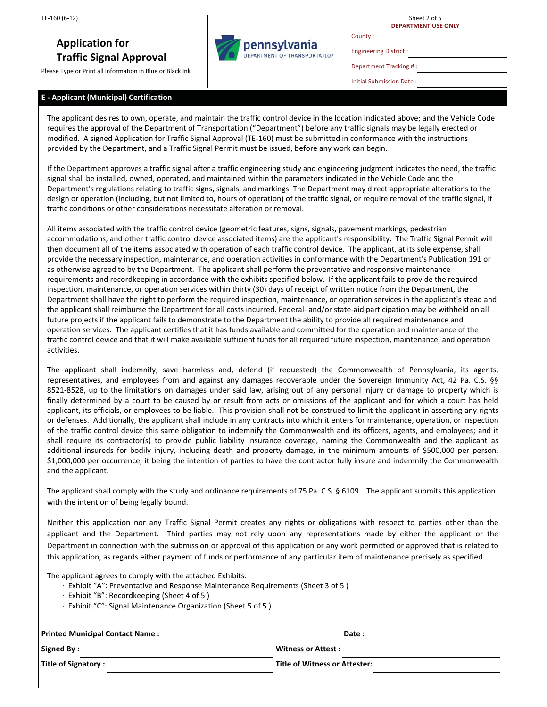# **Application for Traffic Signal Approval**

Please Type or Print all information in Blue or Black Ink

#### **E - Applicant (Municipal) Certification**

pennsylvania **DEPARTMENT OF TRANSPORTATION** 

Engineering District :

Sheet 2 of 5 **DEPARTMENT USE ONLY**

Department Tracking # :

Initial Submission Date :

The applicant desires to own, operate, and maintain the traffic control device in the location indicated above; and the Vehicle Code requires the approval of the Department of Transportation ("Department") before any traffic signals may be legally erected or modified. A signed Application for Traffic Signal Approval (TE-160) must be submitted in conformance with the instructions provided by the Department, and a Traffic Signal Permit must be issued, before any work can begin.

If the Department approves a traffic signal after a traffic engineering study and engineering judgment indicates the need, the traffic signal shall be installed, owned, operated, and maintained within the parameters indicated in the Vehicle Code and the Department's regulations relating to traffic signs, signals, and markings. The Department may direct appropriate alterations to the design or operation (including, but not limited to, hours of operation) of the traffic signal, or require removal of the traffic signal, if traffic conditions or other considerations necessitate alteration or removal.

All items associated with the traffic control device (geometric features, signs, signals, pavement markings, pedestrian accommodations, and other traffic control device associated items) are the applicant's responsibility. The Traffic Signal Permit will then document all of the items associated with operation of each traffic control device. The applicant, at its sole expense, shall provide the necessary inspection, maintenance, and operation activities in conformance with the Department's Publication 191 or as otherwise agreed to by the Department. The applicant shall perform the preventative and responsive maintenance requirements and recordkeeping in accordance with the exhibits specified below. If the applicant fails to provide the required inspection, maintenance, or operation services within thirty (30) days of receipt of written notice from the Department, the Department shall have the right to perform the required inspection, maintenance, or operation services in the applicant's stead and the applicant shall reimburse the Department for all costs incurred. Federal- and/or state-aid participation may be withheld on all future projects if the applicant fails to demonstrate to the Department the ability to provide all required maintenance and operation services. The applicant certifies that it has funds available and committed for the operation and maintenance of the traffic control device and that it will make available sufficient funds for all required future inspection, maintenance, and operation activities.

The applicant shall indemnify, save harmless and, defend (if requested) the Commonwealth of Pennsylvania, its agents, representatives, and employees from and against any damages recoverable under the Sovereign Immunity Act, 42 Pa. C.S. §§ 8521-8528, up to the limitations on damages under said law, arising out of any personal injury or damage to property which is finally determined by a court to be caused by or result from acts or omissions of the applicant and for which a court has held applicant, its officials, or employees to be liable. This provision shall not be construed to limit the applicant in asserting any rights or defenses. Additionally, the applicant shall include in any contracts into which it enters for maintenance, operation, or inspection of the traffic control device this same obligation to indemnify the Commonwealth and its officers, agents, and employees; and it shall require its contractor(s) to provide public liability insurance coverage, naming the Commonwealth and the applicant as additional insureds for bodily injury, including death and property damage, in the minimum amounts of \$500,000 per person, \$1,000,000 per occurrence, it being the intention of parties to have the contractor fully insure and indemnify the Commonwealth and the applicant.

The applicant shall comply with the study and ordinance requirements of 75 Pa. C.S. § 6109. The applicant submits this application with the intention of being legally bound.

Neither this application nor any Traffic Signal Permit creates any rights or obligations with respect to parties other than the applicant and the Department. Third parties may not rely upon any representations made by either the applicant or the Department in connection with the submission or approval of this application or any work permitted or approved that is related to this application, as regards either payment of funds or performance of any particular item of maintenance precisely as specified.

The applicant agrees to comply with the attached Exhibits:

- · Exhibit "A": Preventative and Response Maintenance Requirements (Sheet 3 of 5 )
- · Exhibit "B": Recordkeeping (Sheet 4 of 5 )
- · Exhibit "C": Signal Maintenance Organization (Sheet 5 of 5 )

| <b>Printed Municipal Contact Name:</b> | Date:                         |  |  |
|----------------------------------------|-------------------------------|--|--|
| Signed By:                             | <b>Witness or Attest:</b>     |  |  |
| Title of Signatory:                    | Title of Witness or Attester: |  |  |

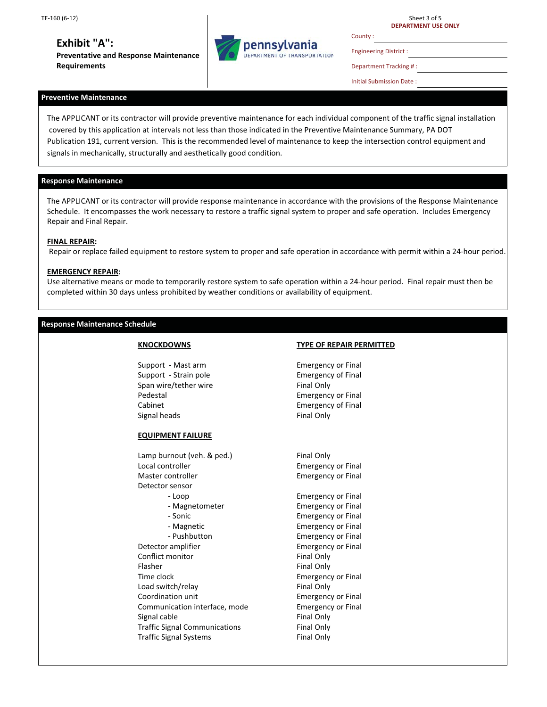## **Exhibit "A":**

**Preventative and Response Maintenance Requirements** 



Sheet 3 of 5 **DEPARTMENT USE ONLY**

Engineering District :

County :

Department Tracking # :

Initial Submission Date :

## **Preventive Maintenance**

The APPLICANT or its contractor will provide preventive maintenance for each individual component of the traffic signal installation covered by this application at intervals not less than those indicated in the Preventive Maintenance Summary, PA DOT Publication 191, current version. This is the recommended level of maintenance to keep the intersection control equipment and signals in mechanically, structurally and aesthetically good condition.

#### **Response Maintenance**

The APPLICANT or its contractor will provide response maintenance in accordance with the provisions of the Response Maintenance Schedule. It encompasses the work necessary to restore a traffic signal system to proper and safe operation. Includes Emergency Repair and Final Repair.

#### **FINAL REPAIR:**

Repair or replace failed equipment to restore system to proper and safe operation in accordance with permit within a 24-hour period.

#### **EMERGENCY REPAIR:**

Use alternative means or mode to temporarily restore system to safe operation within a 24-hour period. Final repair must then be completed within 30 days unless prohibited by weather conditions or availability of equipment.

#### **Response Maintenance Schedule**

## **KNOCKDOWNS**

Support - Mast arm Support - Strain pole Span wire/tether wire Pedestal Cabinet Signal heads

## **EQUIPMENT FAILURE**

Lamp burnout (veh. & ped.) Local controller Master controller Detector sensor - Loop - Magnetometer - Sonic - Magnetic - Pushbutton Detector amplifier Conflict monitor Flasher Time clock Load switch/relay Coordination unit Communication interface, mode Signal cable Traffic Signal Communications Traffic Signal Systems

#### **TYPE OF REPAIR PERMITTED**

Emergency or Final Emergency of Final Final Only Emergency or Final Emergency of Final Final Only

Final Only Emergency or Final Emergency or Final

Emergency or Final Emergency or Final Emergency or Final Emergency or Final Emergency or Final Emergency or Final Final Only Final Only Emergency or Final Final Only Emergency or Final Emergency or Final Final Only Final Only Final Only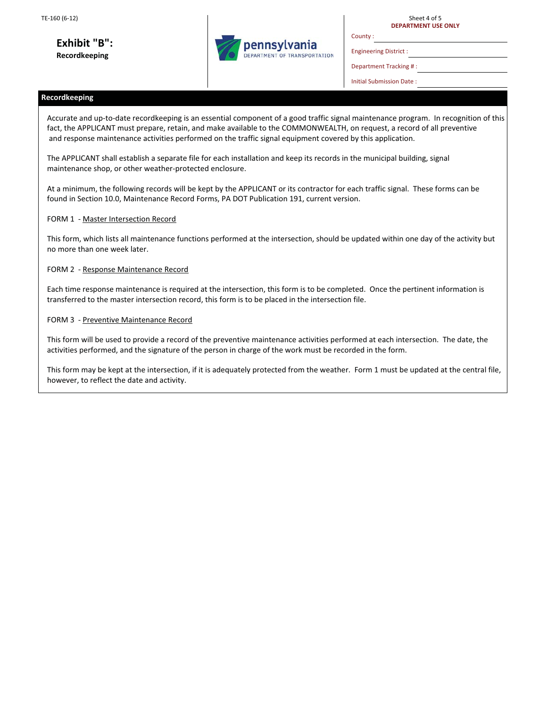**Exhibit "B": Recordkeeping** 



Sheet 4 of 5 **DEPARTMENT USE ONLY**

Engineering District :

County :

Department Tracking # :

Initial Submission Date :

## **Recordkeeping**

Accurate and up-to-date recordkeeping is an essential component of a good traffic signal maintenance program. In recognition of this fact, the APPLICANT must prepare, retain, and make available to the COMMONWEALTH, on request, a record of all preventive and response maintenance activities performed on the traffic signal equipment covered by this application.

The APPLICANT shall establish a separate file for each installation and keep its records in the municipal building, signal maintenance shop, or other weather-protected enclosure.

At a minimum, the following records will be kept by the APPLICANT or its contractor for each traffic signal. These forms can be found in Section 10.0, Maintenance Record Forms, PA DOT Publication 191, current version.

#### FORM 1 - Master Intersection Record

This form, which lists all maintenance functions performed at the intersection, should be updated within one day of the activity but no more than one week later.

#### FORM 2 - Response Maintenance Record

Each time response maintenance is required at the intersection, this form is to be completed. Once the pertinent information is transferred to the master intersection record, this form is to be placed in the intersection file.

#### FORM 3 - Preventive Maintenance Record

This form will be used to provide a record of the preventive maintenance activities performed at each intersection. The date, the activities performed, and the signature of the person in charge of the work must be recorded in the form.

This form may be kept at the intersection, if it is adequately protected from the weather. Form 1 must be updated at the central file, however, to reflect the date and activity.